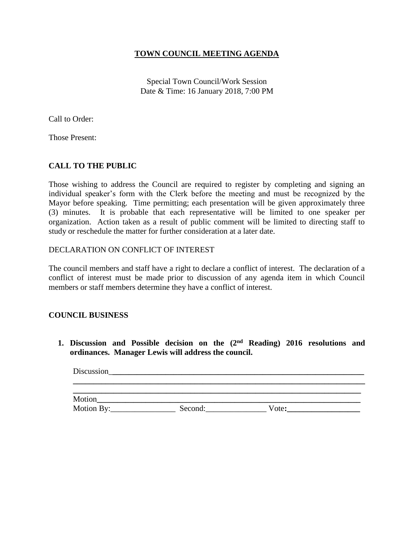## **TOWN COUNCIL MEETING AGENDA**

Special Town Council/Work Session Date & Time: 16 January 2018, 7:00 PM

Call to Order:

Those Present:

## **CALL TO THE PUBLIC**

Those wishing to address the Council are required to register by completing and signing an individual speaker's form with the Clerk before the meeting and must be recognized by the Mayor before speaking. Time permitting; each presentation will be given approximately three (3) minutes. It is probable that each representative will be limited to one speaker per organization. Action taken as a result of public comment will be limited to directing staff to study or reschedule the matter for further consideration at a later date.

DECLARATION ON CONFLICT OF INTEREST

The council members and staff have a right to declare a conflict of interest. The declaration of a conflict of interest must be made prior to discussion of any agenda item in which Council members or staff members determine they have a conflict of interest.

## **COUNCIL BUSINESS**

**1. Discussion and Possible decision on the (2nd Reading) 2016 resolutions and ordinances. Manager Lewis will address the council.**

| Discussion |         |       |  |
|------------|---------|-------|--|
|            |         |       |  |
| Motion     |         |       |  |
| Motion By: | Second: | Vote: |  |